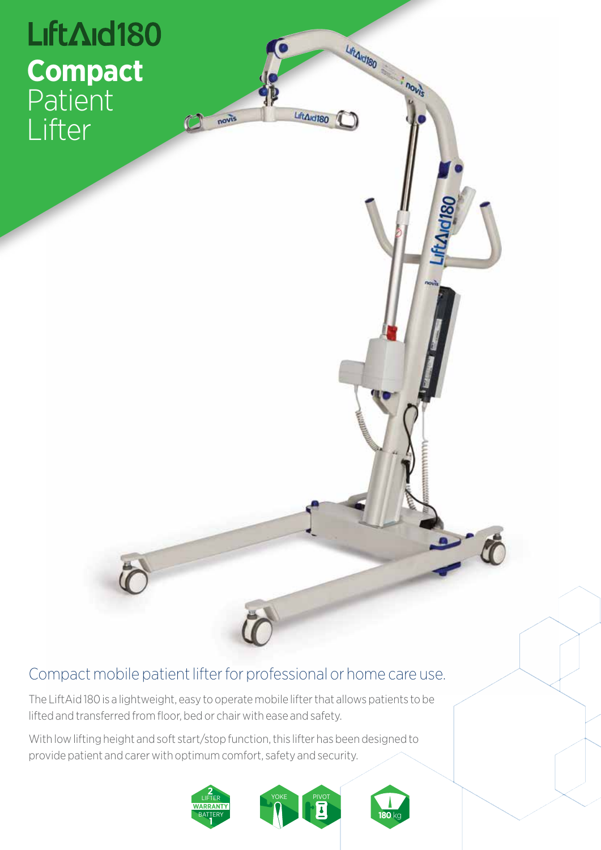

## Compact mobile patient lifter for professional or home care use.

The LiftAid 180 is a lightweight, easy to operate mobile lifter that allows patients to be lifted and transferred from floor, bed or chair with ease and safety.

With low lifting height and soft start/stop function, this lifter has been designed to provide patient and carer with optimum comfort, safety and security.



LiftArd180

LiftAid180

novis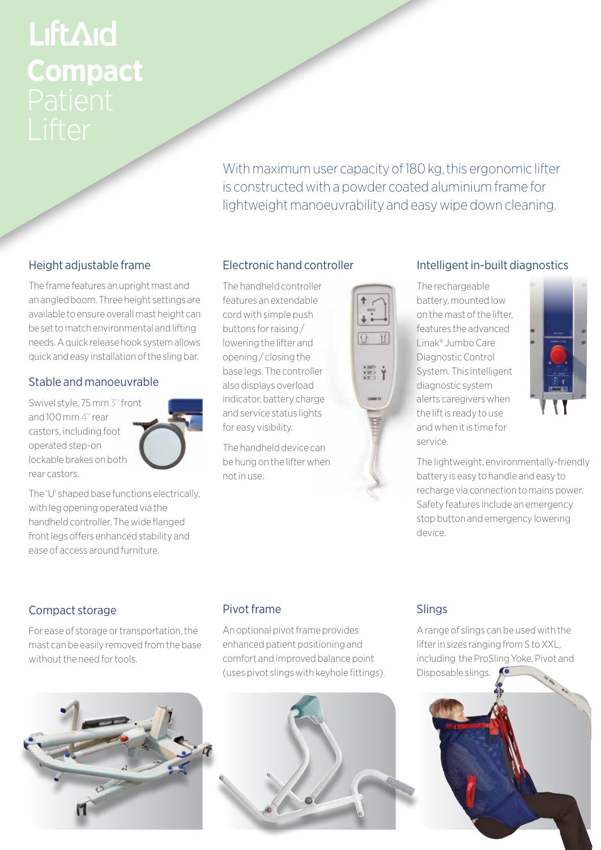# LiftAid **Compact**

With maximum user capacity of 180 kg, this ergonomic lifter is constructed with a powder coated aluminium frame for lightweight manoeuvrability and easy wipe down cleaning.

### Height adjustable frame

The frame features an upright mast and an angled boom. Three height settings are available to ensure overall mast height can be set to match environmental and lifting needs. A quick release hook system allows quick and easy installation of the sling bar.

#### Stable and manoeuvrable

Swivel style, 75 mm 3" front and 100 mm 4" rear castors, including foot operated step-on lockable brakes on both rear castors.

ease of access around furniture.

The 'U' shaped base functions electrically, with leg opening operated via the handheld controller. The wide flanged front legs offers enhanced stability and

#### Electronic hand controller

The handheld controller features an extendable cord with simple push buttons for raising / lowering the lifter and opening / closing the base legs. The controller also displays overload indicator, battery charge and service status lights for easy visibility.

The handheld device can be hung on the lifter when not in use.



#### Intelligent in-built diagnostics

The rechargeable battery, mounted low on the mast of the lifter, features the advanced Linak® Jumbo Care Diagnostic Control System. This intelligent diagnostic system alerts caregivers when the lift is ready to use and when it is time for service.



The lightweight, environmentally-friendly battery is easy to handle and easy to recharge via connection to mains power. Safety features include an emergency stop button and emergency lowering device.

#### Compact storage

For ease of storage or transportation, the mast can be easily removed from the base without the need for tools.



#### Pivot frame

An optional pivot frame provides enhanced patient positioning and comfort and improved balance point (uses pivot slings with keyhole fittings).

#### Slings

A range of slings can be used with the lifter in sizes ranging from S to XXL, including the ProSling Yoke, Pivot and Disposable slings.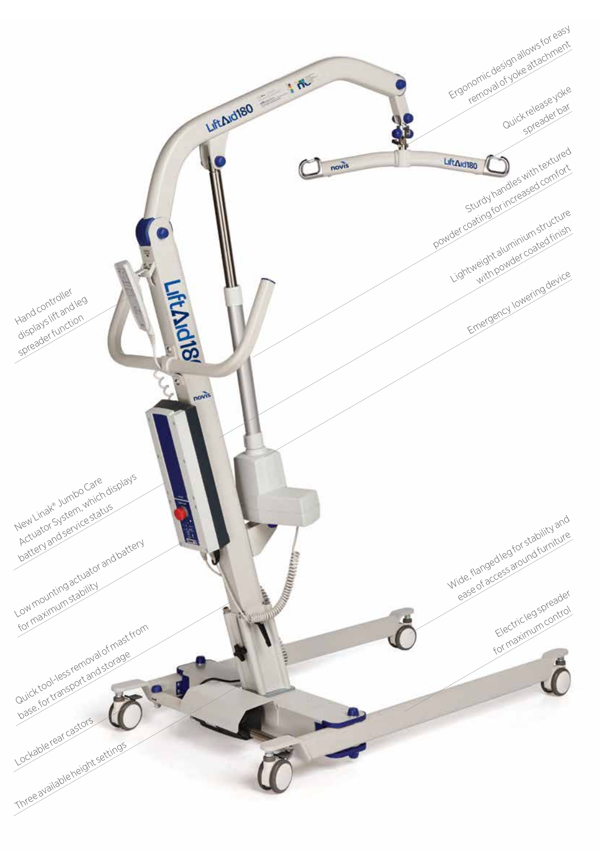